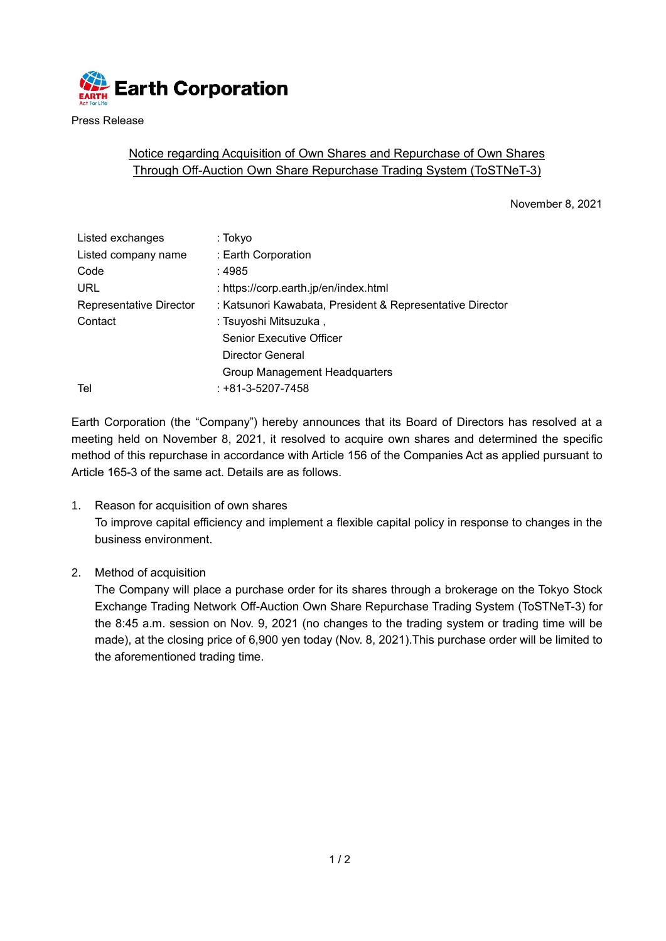

Press Release

## Notice regarding Acquisition of Own Shares and Repurchase of Own Shares Through Off-Auction Own Share Repurchase Trading System (ToSTNeT-3)

November 8, 2021

| Listed exchanges        | : Tokyo                                                   |  |
|-------------------------|-----------------------------------------------------------|--|
| Listed company name     | : Earth Corporation                                       |  |
| Code                    | : 4985                                                    |  |
| <b>URL</b>              | : https://corp.earth.jp/en/index.html                     |  |
| Representative Director | : Katsunori Kawabata, President & Representative Director |  |
| Contact                 | : Tsuyoshi Mitsuzuka ,                                    |  |
|                         | <b>Senior Executive Officer</b>                           |  |
|                         | Director General                                          |  |
|                         | <b>Group Management Headquarters</b>                      |  |
| Tel                     | $: +81 - 3 - 5207 - 7458$                                 |  |
|                         |                                                           |  |

Earth Corporation (the "Company") hereby announces that its Board of Directors has resolved at a meeting held on November 8, 2021, it resolved to acquire own shares and determined the specific method of this repurchase in accordance with Article 156 of the Companies Act as applied pursuant to Article 165-3 of the same act. Details are as follows.

- 1. Reason for acquisition of own shares To improve capital efficiency and implement a flexible capital policy in response to changes in the business environment.
- 2. Method of acquisition

The Company will place a purchase order for its shares through a brokerage on the Tokyo Stock Exchange Trading Network Off-Auction Own Share Repurchase Trading System (ToSTNeT-3) for the 8:45 a.m. session on Nov. 9, 2021 (no changes to the trading system or trading time will be made), at the closing price of 6,900 yen today (Nov. 8, 2021).This purchase order will be limited to the aforementioned trading time.